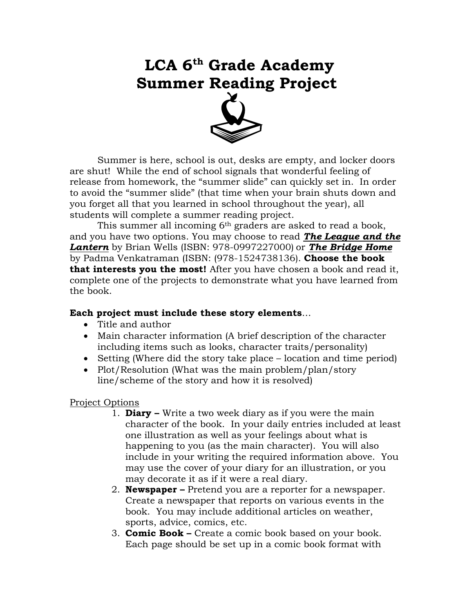# **LCA 6th Grade Academy Summer Reading Project**



Summer is here, school is out, desks are empty, and locker doors are shut! While the end of school signals that wonderful feeling of release from homework, the "summer slide" can quickly set in. In order to avoid the "summer slide" (that time when your brain shuts down and you forget all that you learned in school throughout the year), all students will complete a summer reading project.

This summer all incoming 6<sup>th</sup> graders are asked to read a book, and you have two options. You may choose to read *The League and the Lantern* by Brian Wells (ISBN: 978-0997227000) or *The Bridge Home* by Padma Venkatraman (ISBN: (978-1524738136). **Choose the book that interests you the most!** After you have chosen a book and read it, complete one of the projects to demonstrate what you have learned from the book.

#### **Each project must include these story elements**…

- Title and author
- Main character information (A brief description of the character including items such as looks, character traits/personality)
- Setting (Where did the story take place location and time period)
- Plot/Resolution (What was the main problem/plan/story line/scheme of the story and how it is resolved)

#### Project Options

- 1. **Diary –** Write a two week diary as if you were the main character of the book. In your daily entries included at least one illustration as well as your feelings about what is happening to you (as the main character). You will also include in your writing the required information above. You may use the cover of your diary for an illustration, or you may decorate it as if it were a real diary.
- 2. **Newspaper –** Pretend you are a reporter for a newspaper. Create a newspaper that reports on various events in the book. You may include additional articles on weather, sports, advice, comics, etc.
- 3. **Comic Book –** Create a comic book based on your book. Each page should be set up in a comic book format with